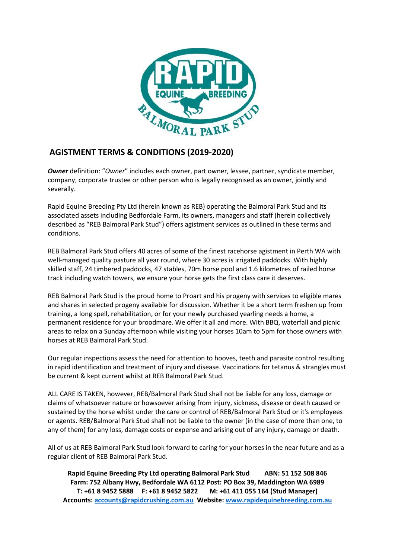

## **AGISTMENT TERMS & CONDITIONS (2019-2020)**

*Owner* definition: "*Owner*" includes each owner, part owner, lessee, partner, syndicate member, company, corporate trustee or other person who is legally recognised as an owner, jointly and severally.

Rapid Equine Breeding Pty Ltd (herein known as REB) operating the Balmoral Park Stud and its associated assets including Bedfordale Farm, its owners, managers and staff (herein collectively described as "REB Balmoral Park Stud") offers agistment services as outlined in these terms and conditions.

REB Balmoral Park Stud offers 40 acres of some of the finest racehorse agistment in Perth WA with well-managed quality pasture all year round, where 30 acres is irrigated paddocks. With highly skilled staff, 24 timbered paddocks, 47 stables, 70m horse pool and 1.6 kilometres of railed horse track including watch towers, we ensure your horse gets the first class care it deserves.

REB Balmoral Park Stud is the proud home to Proart and his progeny with services to eligible mares and shares in selected progeny available for discussion. Whether it be a short term freshen up from training, a long spell, rehabilitation, or for your newly purchased yearling needs a home, a permanent residence for your broodmare. We offer it all and more. With BBQ, waterfall and picnic areas to relax on a Sunday afternoon while visiting your horses 10am to 5pm for those owners with horses at REB Balmoral Park Stud.

Our regular inspections assess the need for attention to hooves, teeth and parasite control resulting in rapid identification and treatment of injury and disease. Vaccinations for tetanus & strangles must be current & kept current whilst at REB Balmoral Park Stud.

ALL CARE IS TAKEN, however, REB/Balmoral Park Stud shall not be liable for any loss, damage or claims of whatsoever nature or howsoever arising from injury, sickness, disease or death caused or sustained by the horse whilst under the care or control of REB/Balmoral Park Stud or it's employees or agents. REB/Balmoral Park Stud shall not be liable to the owner (in the case of more than one, to any of them) for any loss, damage costs or expense and arising out of any injury, damage or death.

All of us at REB Balmoral Park Stud look forward to caring for your horses in the near future and as a regular client of REB Balmoral Park Stud.

**Rapid Equine Breeding Pty Ltd operating Balmoral Park Stud ABN: 51 152 508 846 Farm: 752 Albany Hwy, Bedfordale WA 6112 Post: PO Box 39, Maddington WA 6989 T: +61 8 9452 5888 F: +61 8 9452 5822 M: +61 411 055 164 (Stud Manager) Accounts: [accounts@rapidcrushing.com.au](mailto:accounts@rapidcrushing.com.au) Website: [www.rapidequinebreeding.com.au](http://www.rapidequinebreeding.com.au/)**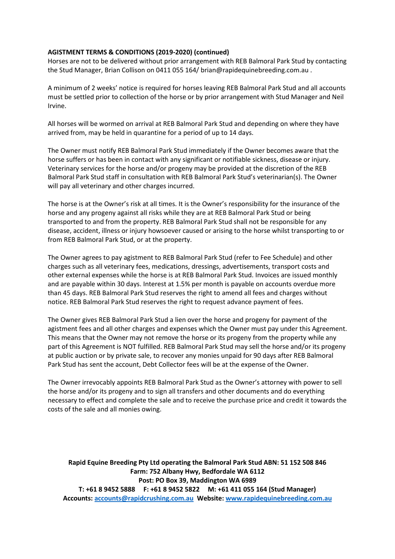#### **AGISTMENT TERMS & CONDITIONS (2019-2020) (continued)**

Horses are not to be delivered without prior arrangement with REB Balmoral Park Stud by contacting the Stud Manager, Brian Collison on 0411 055 164/ brian@rapidequinebreeding.com.au .

A minimum of 2 weeks' notice is required for horses leaving REB Balmoral Park Stud and all accounts must be settled prior to collection of the horse or by prior arrangement with Stud Manager and Neil Irvine.

All horses will be wormed on arrival at REB Balmoral Park Stud and depending on where they have arrived from, may be held in quarantine for a period of up to 14 days.

The Owner must notify REB Balmoral Park Stud immediately if the Owner becomes aware that the horse suffers or has been in contact with any significant or notifiable sickness, disease or injury. Veterinary services for the horse and/or progeny may be provided at the discretion of the REB Balmoral Park Stud staff in consultation with REB Balmoral Park Stud's veterinarian(s). The Owner will pay all veterinary and other charges incurred.

The horse is at the Owner's risk at all times. It is the Owner's responsibility for the insurance of the horse and any progeny against all risks while they are at REB Balmoral Park Stud or being transported to and from the property. REB Balmoral Park Stud shall not be responsible for any disease, accident, illness or injury howsoever caused or arising to the horse whilst transporting to or from REB Balmoral Park Stud, or at the property.

The Owner agrees to pay agistment to REB Balmoral Park Stud (refer to Fee Schedule) and other charges such as all veterinary fees, medications, dressings, advertisements, transport costs and other external expenses while the horse is at REB Balmoral Park Stud. Invoices are issued monthly and are payable within 30 days. Interest at 1.5% per month is payable on accounts overdue more than 45 days. REB Balmoral Park Stud reserves the right to amend all fees and charges without notice. REB Balmoral Park Stud reserves the right to request advance payment of fees.

The Owner gives REB Balmoral Park Stud a lien over the horse and progeny for payment of the agistment fees and all other charges and expenses which the Owner must pay under this Agreement. This means that the Owner may not remove the horse or its progeny from the property while any part of this Agreement is NOT fulfilled. REB Balmoral Park Stud may sell the horse and/or its progeny at public auction or by private sale, to recover any monies unpaid for 90 days after REB Balmoral Park Stud has sent the account, Debt Collector fees will be at the expense of the Owner.

The Owner irrevocably appoints REB Balmoral Park Stud as the Owner's attorney with power to sell the horse and/or its progeny and to sign all transfers and other documents and do everything necessary to effect and complete the sale and to receive the purchase price and credit it towards the costs of the sale and all monies owing.

**Rapid Equine Breeding Pty Ltd operating the Balmoral Park Stud ABN: 51 152 508 846 Farm: 752 Albany Hwy, Bedfordale WA 6112 Post: PO Box 39, Maddington WA 6989 T: +61 8 9452 5888 F: +61 8 9452 5822 M: +61 411 055 164 (Stud Manager) Accounts: [accounts@rapidcrushing.com.au](mailto:accounts@rapidcrushing.com.au) Website: [www.rapidequinebreeding.com.au](http://www.rapidequinebreeding.com.au/)**